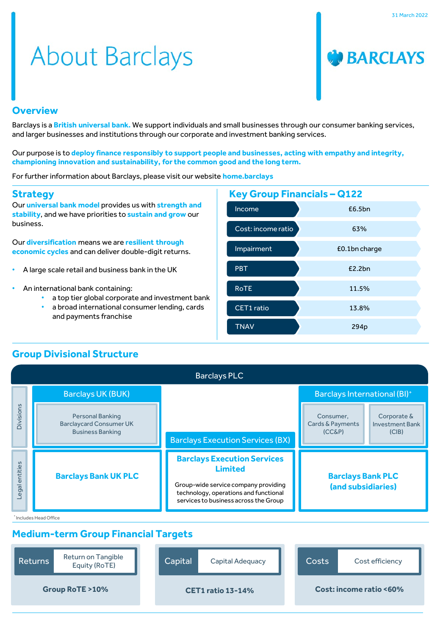# **About Barclays**



#### **Overview**

Barclays is a **British universal bank.** We support individuals and small businesses through our consumer banking services, and larger businesses and institutions through our corporate and investment banking services.

Our purpose is to **deploy finance responsibly to support people and businesses, acting with empathy and integrity, championing innovation and sustainability, for the common good and the long term.**

For further information about Barclays, please visit our website **home.barclays**

#### **Strategy**

Our **universal bank model** provides us with **strength and stability**, and we have priorities to **sustain and grow** our business.

Our **diversification** means we are **resilient through economic cycles** and can deliver double-digit returns.

- A large scale retail and business bank in the UK
- An international bank containing:
	- a top tier global corporate and investment bank
	- a broad international consumer lending, cards and payments franchise



# **Group Divisional Structure**

| <b>Barclays PLC</b> |                                                                                      |                                                                                                                                                                                |                                                |                                                |  |
|---------------------|--------------------------------------------------------------------------------------|--------------------------------------------------------------------------------------------------------------------------------------------------------------------------------|------------------------------------------------|------------------------------------------------|--|
|                     | <b>Barclays UK (BUK)</b>                                                             |                                                                                                                                                                                | Barclays International (BI)+                   |                                                |  |
| Divisions           | <b>Personal Banking</b><br><b>Barclaycard Consumer UK</b><br><b>Business Banking</b> | <b>Barclays Execution Services (BX)</b>                                                                                                                                        | Consumer.<br>Cards & Payments<br>$(CC\&P)$     | Corporate &<br><b>Investment Bank</b><br>(CIB) |  |
| Legal entities      | <b>Barclays Bank UK PLC</b>                                                          | <b>Barclays Execution Services</b><br><b>Limited</b><br>Group-wide service company providing<br>technology, operations and functional<br>services to business across the Group | <b>Barclays Bank PLC</b><br>(and subsidiaries) |                                                |  |
|                     | <sup>*</sup> Includes Head Office                                                    |                                                                                                                                                                                |                                                |                                                |  |

# **Medium-term Group Financial Targets**

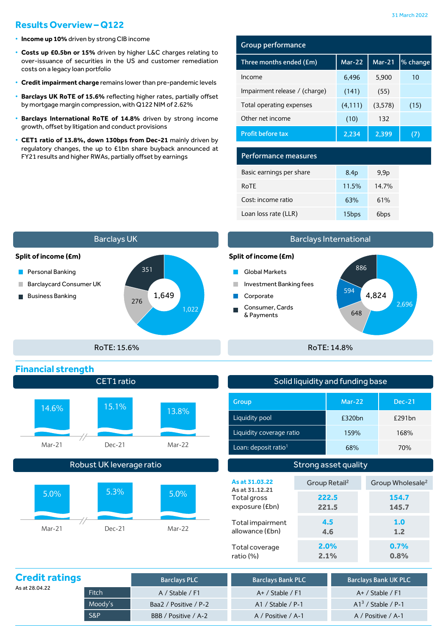# **Results Overview– Q122**

- **Income up 10%** driven by strongCIB income
- **Costs up £0.5bn or 15%** driven by higher L&C charges relating to over-issuance of securities in the US and customer remediation costs on a legacy loan portfolio
- **Credit impairment charge** remains lower than pre-pandemic levels
- **Barclays UK RoTE of 15.6%** reflecting higher rates, partially offset by mortgage margin compression, with Q122 NIM of 2.62%
- **Barclays International RoTE of 14.8%** driven by strong income growth, offset by litigation and conduct provisions
- **CET1 ratio of 13.8%, down 130bps from Dec-21** mainly driven by regulatory changes, the up to £1bn share buyback announced at FY21 results and higher RWAs, partially offset by earnings **Performance measures**

## **Group performance**

| Three months ended (£m)       | $Mar-22$ | $Mar-21$ | % change |
|-------------------------------|----------|----------|----------|
| Income                        | 6,496    | 5,900    | 10       |
| Impairment release / (charge) | (141)    | (55)     |          |
| Total operating expenses      | (4, 111) | (3,578)  | (15)     |
| Other net income              | (10)     | 132      |          |
| <b>Profit before tax</b>      | 2,234    | 2,399    |          |

| Basic earnings per share | 8.4 <sub>p</sub> | 9.9 <sub>p</sub> |  |
|--------------------------|------------------|------------------|--|
| RoTE                     | 11.5%            | 14.7%            |  |
| Cost: income ratio       | 63%              | 61%              |  |
| Loan loss rate (LLR)     | 15bps            | 6 <sub>bps</sub> |  |



## Barclays International



**0.7% 0.8%**

| Solid liquidity and funding base |                           |          |  |                              |
|----------------------------------|---------------------------|----------|--|------------------------------|
| Group                            |                           | $Mar-22$ |  | <b>Dec-21</b>                |
| Liquidity pool                   |                           | £320bn   |  | £291bn                       |
| Liquidity coverage ratio         |                           | 159%     |  | 168%                         |
| Loan: deposit ratio <sup>1</sup> |                           | 68%      |  | 70%                          |
| Strong asset quality             |                           |          |  |                              |
| As at 31.03.22<br>As at 31.12.21 | Group Retail <sup>2</sup> |          |  | Group Wholesale <sup>2</sup> |
|                                  |                           |          |  |                              |
| Total gross<br>exposure (£bn)    | 222.5<br>221.5            |          |  | 154.7<br>145.7               |

**2.0% 2.1%**

| <b>Credit ratings</b> |                | <b>Barclays PLC</b>   | <b>Barclays Bank PLC</b> | <b>Barclays Bank UK PLC</b> |
|-----------------------|----------------|-----------------------|--------------------------|-----------------------------|
| As at 28.04.22        | Fitch          | A / Stable / F1       | $A+ /$ Stable $/ F1$     | $A+ /$ Stable / F1          |
|                       | Moody's        | Baa2 / Positive / P-2 | $A1 /$ Stable / P-1      | $A13$ / Stable / P-1        |
|                       | <b>S&amp;P</b> | BBB / Positive / A-2  | A / Positive / A-1       | A / Positive / A-1          |

Total coverage ratio (%)

## **Financial strength**

| 14.6%  | 15.1%  | 13.8%  |
|--------|--------|--------|
| Mar-21 | Dec-21 | Mar-22 |

CET1 ratio

## Robust UK leverage ratio